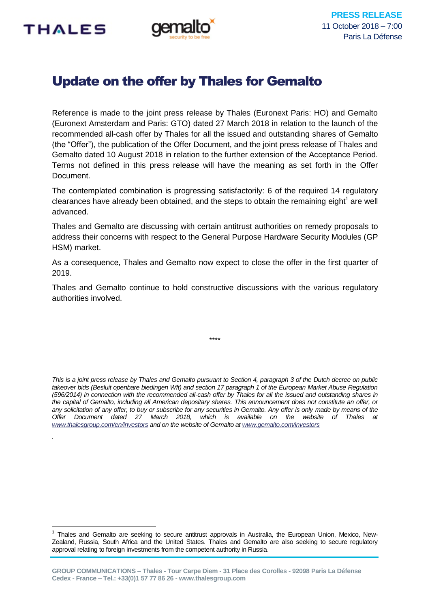

*.*

1



# Update on the offer by Thales for Gemalto

Reference is made to the joint press release by Thales (Euronext Paris: HO) and Gemalto (Euronext Amsterdam and Paris: GTO) dated 27 March 2018 in relation to the launch of the recommended all-cash offer by Thales for all the issued and outstanding shares of Gemalto (the "Offer"), the publication of the Offer Document, and the joint press release of Thales and Gemalto dated 10 August 2018 in relation to the further extension of the Acceptance Period. Terms not defined in this press release will have the meaning as set forth in the Offer Document.

The contemplated combination is progressing satisfactorily: 6 of the required 14 regulatory clearances have already been obtained, and the steps to obtain the remaining eight<sup>1</sup> are well advanced.

Thales and Gemalto are discussing with certain antitrust authorities on remedy proposals to address their concerns with respect to the General Purpose Hardware Security Modules (GP HSM) market.

As a consequence, Thales and Gemalto now expect to close the offer in the first quarter of 2019.

Thales and Gemalto continue to hold constructive discussions with the various regulatory authorities involved.

\*\*\*\*

*This is a joint press release by Thales and Gemalto pursuant to Section 4, paragraph 3 of the Dutch decree on public takeover bids (Besluit openbare biedingen Wft) and section 17 paragraph 1 of the European Market Abuse Regulation (596/2014) in connection with the recommended all-cash offer by Thales for all the issued and outstanding shares in the capital of Gemalto, including all American depositary shares. This announcement does not constitute an offer, or any solicitation of any offer, to buy or subscribe for any securities in Gemalto. Any offer is only made by means of the Offer Document dated 27 March 2018, which is available on the website of Thales at [www.thalesgroup.com/en/investors](http://www.thalesgroup.com/en/investors) and on the website of Gemalto a[t www.gemalto.com/investors](http://www.gemalto.com/investors)*

<sup>1</sup> Thales and Gemalto are seeking to secure antitrust approvals in Australia, the European Union, Mexico, New-Zealand, Russia, South Africa and the United States. Thales and Gemalto are also seeking to secure regulatory approval relating to foreign investments from the competent authority in Russia.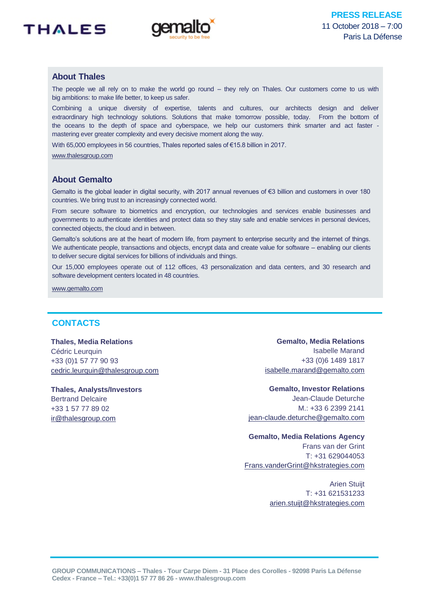



# **About Thales**

The people we all rely on to make the world go round – they rely on Thales. Our customers come to us with big ambitions: to make life better, to keep us safer.

Combining a unique diversity of expertise, talents and cultures, our architects design and deliver extraordinary high technology solutions. Solutions that make tomorrow possible, today. From the bottom of the oceans to the depth of space and cyberspace, we help our customers think smarter and act faster mastering ever greater complexity and every decisive moment along the way.

With 65,000 employees in 56 countries, Thales reported sales of €15.8 billion in 2017.

[www.thalesgroup.com](http://www.thalesgroup.com/)

## **About Gemalto**

Gemalto is the global leader in digital security, with 2017 annual revenues of €3 billion and customers in over 180 countries. We bring trust to an increasingly connected world.

From secure software to biometrics and encryption, our technologies and services enable businesses and governments to authenticate identities and protect data so they stay safe and enable services in personal devices, connected objects, the cloud and in between.

Gemalto's solutions are at the heart of modern life, from payment to enterprise security and the internet of things. We authenticate people, transactions and objects, encrypt data and create value for software – enabling our clients to deliver secure digital services for billions of individuals and things.

Our 15,000 employees operate out of 112 offices, 43 personalization and data centers, and 30 research and software development centers located in 48 countries.

[www.gemalto.com](http://www.gemalto.com/)

# **CONTACTS**

## **Thales, Media Relations**

Cédric Leurquin +33 (0)1 57 77 90 93 [cedric.leurquin@thalesgroup.com](mailto:cedric.leurquin@thalesgroup.com)

**Thales, Analysts/Investors** Bertrand Delcaire +33 1 57 77 89 02 [ir@thalesgroup.com](mailto:ir@thalesgroup.com)

**Gemalto, Media Relations** Isabelle Marand +33 (0)6 1489 1817 [isabelle.marand@gemalto.com](mailto:isabelle.marand@gemalto.com)

**Gemalto, Investor Relations** Jean-Claude Deturche M.: +33 6 2399 2141 [jean-claude.deturche@gemalto.com](mailto:jean-claude.deturche@gemalto.com)

## **Gemalto, Media Relations Agency**

Frans van der Grint  $T: +31629044053$ [Frans.vanderGrint@hkstrategies.com](mailto:Frans.vanderGrint@hkstrategies.com)

> Arien Stuijt T: +31 621531233 [arien.stuijt@hkstrategies.com](mailto:arien.stuijt@hkstrategies.com)